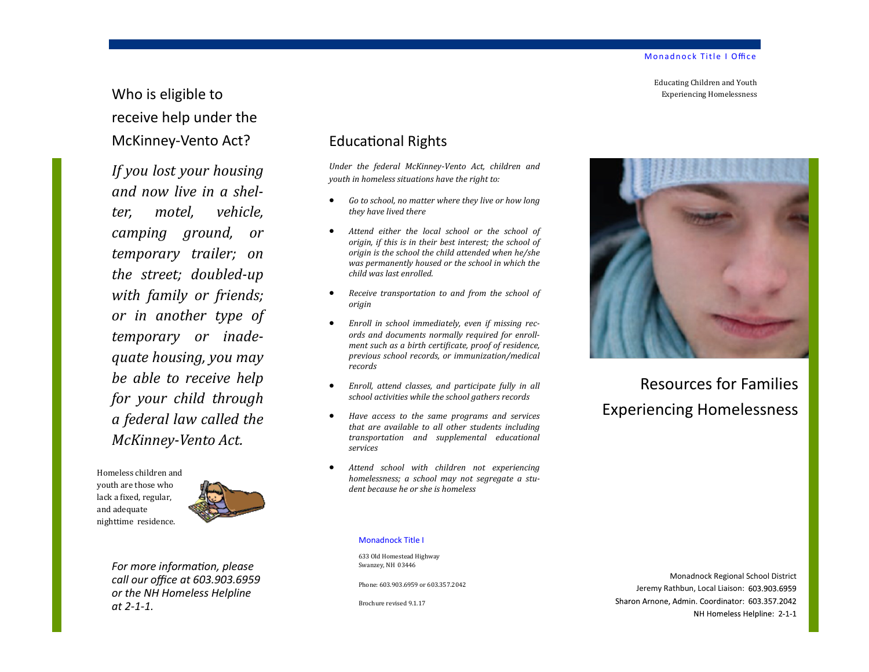Educating Children and Youth Experiencing Homelessness

# Who is eligible to receive help under the McKinney-Vento Act?

*If you lost your housing and now live in a shelter, motel, vehicle, camping ground, or temporary trailer; on the street; doubled-up with family or friends; or in another type of temporary or inadequate housing, you may be able to receive help for your child through a federal law called the McKinney-Vento Act.*

Homeless children and youth are those who lack a fixed, regular, and adequate nighttime residence.



*For more information, please call our office at 603.903.6959 or the NH Homeless Helpline at 2-1-1.*

# Educational Rights

*Under the federal McKinney-Vento Act, children and youth in homeless situations have the right to:*

- *Go to school, no matter where they live or how long they have lived there*
- *Attend either the local school or the school of origin, if this is in their best interest; the school of origin is the school the child attended when he/she was permanently housed or the school in which the child was last enrolled.*
- *Receive transportation to and from the school of origin*
- *Enroll in school immediately, even if missing records and documents normally required for enrollment such as a birth certificate, proof of residence, previous school records, or immunization/medical records*
- *Enroll, attend classes, and participate fully in all school activities while the school gathers records*
- *Have access to the same programs and services that are available to all other students including transportation and supplemental educational services*
- *Attend school with children not experiencing homelessness; a school may not segregate a student because he or she is homeless*



Resources for Families Experiencing Homelessness

#### Monadnock Title I

633 Old Homestead Highway Swanzey, NH 03446

Phone: 603.903.6959 or 603.357.2042

Brochure revised 9.1.17

Monadnock Regional School District Jeremy Rathbun, Local Liaison: 603.903.6959 Sharon Arnone, Admin. Coordinator: 603.357.2042 NH Homeless Helpline: 2-1-1